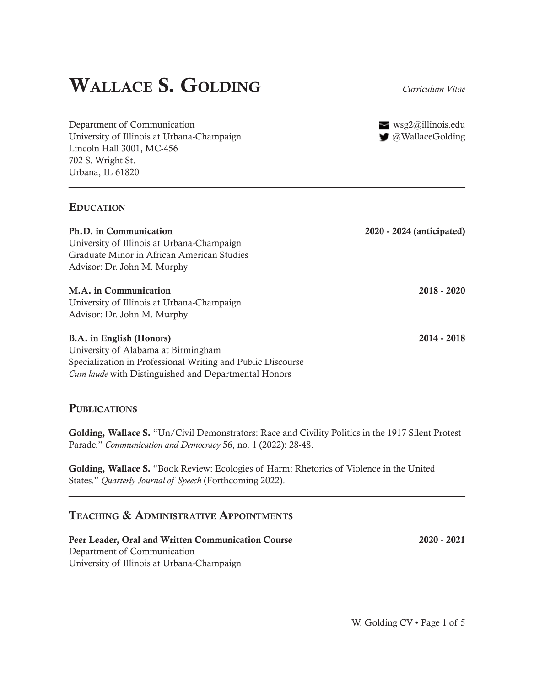# **WALLACE S. GOLDING** *Curriculum Vitae*

Department of Communication University of Illinois at Urbana-Champaign Lincoln Hall 3001, MC-456 702 S. Wright St.

 $\equiv$  wsg2@illinois.edu

| University of Illinois at Urbana-Champaign                  | $\Box$ @WallaceGolding    |
|-------------------------------------------------------------|---------------------------|
| Lincoln Hall 3001, MC-456                                   |                           |
| 702 S. Wright St.                                           |                           |
| Urbana, IL 61820                                            |                           |
| <b>EDUCATION</b>                                            |                           |
| Ph.D. in Communication                                      | 2020 - 2024 (anticipated) |
| University of Illinois at Urbana-Champaign                  |                           |
| Graduate Minor in African American Studies                  |                           |
| Advisor: Dr. John M. Murphy                                 |                           |
| <b>M.A.</b> in Communication                                | $2018 - 2020$             |
| University of Illinois at Urbana-Champaign                  |                           |
| Advisor: Dr. John M. Murphy                                 |                           |
| <b>B.A.</b> in English (Honors)                             | $2014 - 2018$             |
| University of Alabama at Birmingham                         |                           |
| Specialization in Professional Writing and Public Discourse |                           |
| <i>Cum laude</i> with Distinguished and Departmental Honors |                           |

## **PUBLICATIONS**

**Golding, Wallace S.** "Un/Civil Demonstrators: Race and Civility Politics in the 1917 Silent Protest Parade." *Communication and Democracy* 56, no. 1 (2022): 28-48.

**Golding, Wallace S.** "Book Review: Ecologies of Harm: Rhetorics of Violence in the United States." *Quarterly Journal of Speech* (Forthcoming 2022).

# **TEACHING & ADMINISTRATIVE APPOINTMENTS**

**Peer Leader, Oral and Written Communication Course** Department of Communication University of Illinois at Urbana-Champaign

**2020 - 2021**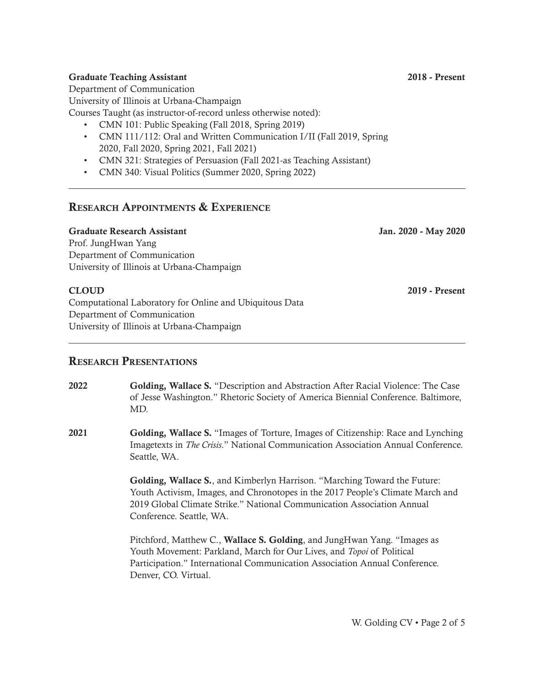#### **2018 - Present**

**Jan. 2020 - May 2020**

**2019 - Present**

#### **Graduate Teaching Assistant**

Department of Communication University of Illinois at Urbana-Champaign

Courses Taught (as instructor-of-record unless otherwise noted):

- CMN 101: Public Speaking (Fall 2018, Spring 2019)
- CMN 111/112: Oral and Written Communication I/II (Fall 2019, Spring 2020, Fall 2020, Spring 2021, Fall 2021)
- CMN 321: Strategies of Persuasion (Fall 2021-as Teaching Assistant)
- CMN 340: Visual Politics (Summer 2020, Spring 2022)

# **RESEARCH APPOINTMENTS & EXPERIENCE**

#### **Graduate Research Assistant**

Prof. JungHwan Yang Department of Communication University of Illinois at Urbana-Champaign

## **CLOUD**

Computational Laboratory for Online and Ubiquitous Data Department of Communication University of Illinois at Urbana-Champaign

## **RESEARCH PRESENTATIONS**

- **2022 Golding, Wallace S.** "Description and Abstraction After Racial Violence: The Case of Jesse Washington." Rhetoric Society of America Biennial Conference. Baltimore, MD.
- **Golding, Wallace S.** "Images of Torture, Images of Citizenship: Race and Lynching Imagetexts in *The Crisis*." National Communication Association Annual Conference. Seattle, WA. **2021**

**Golding, Wallace S.**, and Kimberlyn Harrison. "Marching Toward the Future: Youth Activism, Images, and Chronotopes in the 2017 People's Climate March and 2019 Global Climate Strike." National Communication Association Annual Conference. Seattle, WA.

Pitchford, Matthew C., **Wallace S. Golding**, and JungHwan Yang. "Images as Youth Movement: Parkland, March for Our Lives, and *Topoi* of Political Participation." International Communication Association Annual Conference. Denver, CO. Virtual.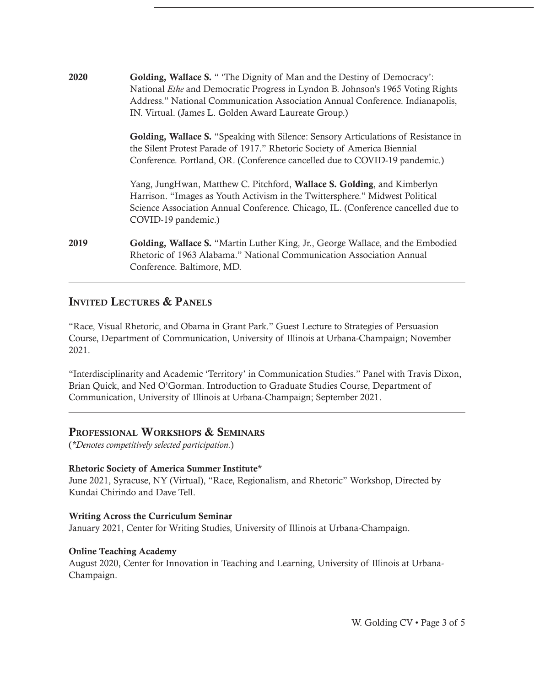| 2020 | Golding, Wallace S. " 'The Dignity of Man and the Destiny of Democracy':<br>National <i>Ethe</i> and Democratic Progress in Lyndon B. Johnson's 1965 Voting Rights<br>Address." National Communication Association Annual Conference. Indianapolis,<br>IN. Virtual. (James L. Golden Award Laureate Group.) |  |
|------|-------------------------------------------------------------------------------------------------------------------------------------------------------------------------------------------------------------------------------------------------------------------------------------------------------------|--|
|      | <b>Golding, Wallace S.</b> "Speaking with Silence: Sensory Articulations of Resistance in<br>the Silent Protest Parade of 1917." Rhetoric Society of America Biennial<br>Conference. Portland, OR. (Conference cancelled due to COVID-19 pandemic.)                                                         |  |
|      | Yang, JungHwan, Matthew C. Pitchford, Wallace S. Golding, and Kimberlyn<br>Harrison. "Images as Youth Activism in the Twittersphere." Midwest Political<br>Science Association Annual Conference. Chicago, IL. (Conference cancelled due to<br>COVID-19 pandemic.)                                          |  |
| 2019 | Golding, Wallace S. "Martin Luther King, Jr., George Wallace, and the Embodied<br>Rhetoric of 1963 Alabama." National Communication Association Annual<br>Conference. Baltimore, MD.                                                                                                                        |  |

# **INVITED LECTURES & PANELS**

"Race, Visual Rhetoric, and Obama in Grant Park." Guest Lecture to Strategies of Persuasion Course, Department of Communication, University of Illinois at Urbana-Champaign; November 2021.

"Interdisciplinarity and Academic 'Territory' in Communication Studies." Panel with Travis Dixon, Brian Quick, and Ned O'Gorman. Introduction to Graduate Studies Course, Department of Communication, University of Illinois at Urbana-Champaign; September 2021.

## **PROFESSIONAL WORKSHOPS & SEMINARS**

(*\*Denotes competitively selected participation.*)

#### **Rhetoric Society of America Summer Institute**\*

June 2021, Syracuse, NY (Virtual), "Race, Regionalism, and Rhetoric" Workshop, Directed by Kundai Chirindo and Dave Tell.

#### **Writing Across the Curriculum Seminar**

January 2021, Center for Writing Studies, University of Illinois at Urbana-Champaign.

#### **Online Teaching Academy**

August 2020, Center for Innovation in Teaching and Learning, University of Illinois at Urbana-Champaign.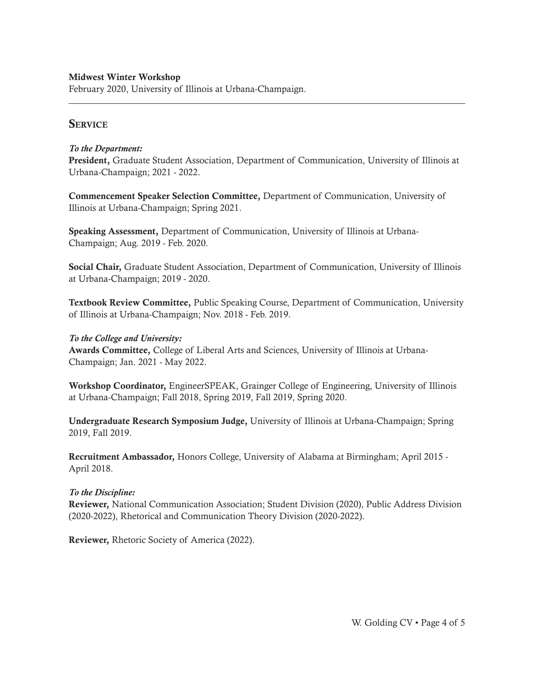February 2020, University of Illinois at Urbana-Champaign.

# **SERVICE**

### *To the Department:*

**President,** Graduate Student Association, Department of Communication, University of Illinois at Urbana-Champaign; 2021 - 2022.

**Commencement Speaker Selection Committee,** Department of Communication, University of Illinois at Urbana-Champaign; Spring 2021.

**Speaking Assessment,** Department of Communication, University of Illinois at Urbana-Champaign; Aug. 2019 - Feb. 2020.

**Social Chair,** Graduate Student Association, Department of Communication, University of Illinois at Urbana-Champaign; 2019 - 2020.

**Textbook Review Committee,** Public Speaking Course, Department of Communication, University of Illinois at Urbana-Champaign; Nov. 2018 - Feb. 2019.

### *To the College and University:*

**Awards Committee,** College of Liberal Arts and Sciences, University of Illinois at Urbana-Champaign; Jan. 2021 - May 2022.

**Workshop Coordinator,** EngineerSPEAK, Grainger College of Engineering, University of Illinois at Urbana-Champaign; Fall 2018, Spring 2019, Fall 2019, Spring 2020.

**Undergraduate Research Symposium Judge,** University of Illinois at Urbana-Champaign; Spring 2019, Fall 2019.

**Recruitment Ambassador,** Honors College, University of Alabama at Birmingham; April 2015 - April 2018.

## *To the Discipline:*

**Reviewer,** National Communication Association; Student Division (2020), Public Address Division (2020-2022), Rhetorical and Communication Theory Division (2020-2022).

**Reviewer,** Rhetoric Society of America (2022).